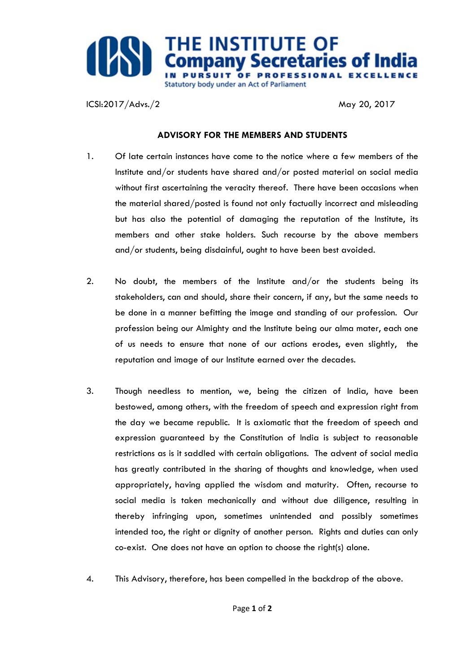

ICSI:2017/Advs./2 May 20, 2017

## **ADVISORY FOR THE MEMBERS AND STUDENTS**

- 1. Of late certain instances have come to the notice where a few members of the Institute and/or students have shared and/or posted material on social media without first ascertaining the veracity thereof. There have been occasions when the material shared/posted is found not only factually incorrect and misleading but has also the potential of damaging the reputation of the Institute, its members and other stake holders. Such recourse by the above members and/or students, being disdainful, ought to have been best avoided.
- 2. No doubt, the members of the Institute and/or the students being its stakeholders, can and should, share their concern, if any, but the same needs to be done in a manner befitting the image and standing of our profession. Our profession being our Almighty and the Institute being our alma mater, each one of us needs to ensure that none of our actions erodes, even slightly, the reputation and image of our Institute earned over the decades.
- 3. Though needless to mention, we, being the citizen of India, have been bestowed, among others, with the freedom of speech and expression right from the day we became republic. It is axiomatic that the freedom of speech and expression guaranteed by the Constitution of India is subject to reasonable restrictions as is it saddled with certain obligations. The advent of social media has greatly contributed in the sharing of thoughts and knowledge, when used appropriately, having applied the wisdom and maturity. Often, recourse to social media is taken mechanically and without due diligence, resulting in thereby infringing upon, sometimes unintended and possibly sometimes intended too, the right or dignity of another person. Rights and duties can only co-exist. One does not have an option to choose the right(s) alone.
- 4. This Advisory, therefore, has been compelled in the backdrop of the above.